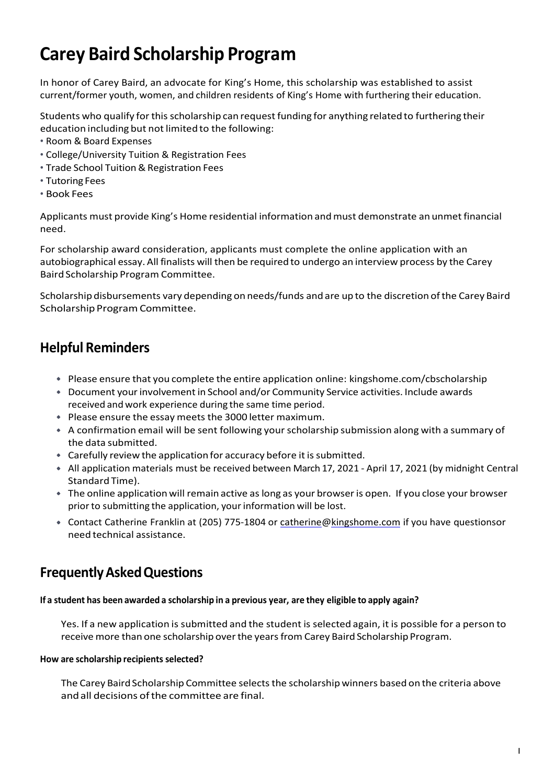# **Carey Baird Scholarship Program**

In honor of Carey Baird, an advocate for King's Home, this scholarship was established to assist current/former youth, women, and children residents of King's Home with furthering their education.

Students who qualify for this scholarship can request funding for anything related to furthering their education including but not limited to the following:

- Room & Board Expenses
- College/University Tuition & Registration Fees
- Trade School Tuition & Registration Fees
- Tutoring Fees
- Book Fees

Applicants must provide King's Home residential information andmust demonstrate an unmet financial need.

For scholarship award consideration, applicants must complete the online application with an autobiographical essay. All finalists will then be required to undergo an interview process by the Carey Baird Scholarship Program Committee.

Scholarship disbursements vary depending on needs/funds and are up to the discretion ofthe Carey Baird Scholarship Program Committee.

### **Helpful Reminders**

- Please ensure that you complete the entire application online: kingshome.com/cbscholarship
- Document yourinvolvementin School and/or Community Service activities. Include awards received and work experience during the same time period.
- Please ensure the essay meets the 3000 letter maximum.
- \* A confirmation email will be sent following your scholarship submission along with a summary of the data submitted.
- Carefully review the application for accuracy before it is submitted.
- \* All application materials must be received between March 17, 2021 April 17, 2021 (by midnight Central Standard Time).
- The online application will remain active aslong as your browseris open. If you close your browser prior to submitting the application, your information will be lost.
- **Contact Catherine Franklin at (205) 775-1804 or [catherine@kingshome.com](mailto:catherine@kingshome.com) if you have questionsor** need technical assistance.

### **FrequentlyAskedQuestions**

#### **If a student has been awarded a scholarship in a previous year, are they eligible to apply again?**

Yes. If a new application is submitted and the student is selected again, it is possible for a person to receive more than one scholarship over the years from Carey Baird Scholarship Program.

#### **How are scholarship recipients selected?**

The Carey Baird Scholarship Committee selects the scholarship winners based on the criteria above andall decisions ofthe committee are final.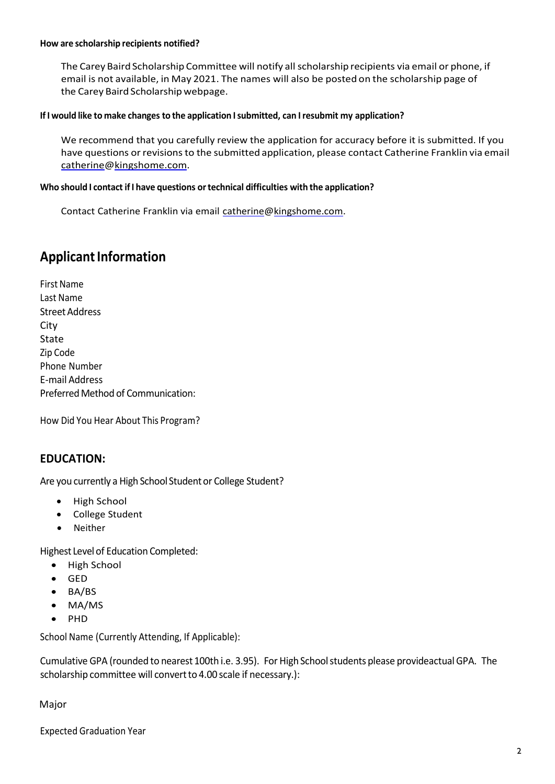#### **How are scholarship recipients notified?**

The Carey Baird Scholarship Committee will notify all scholarship recipients via email or phone, if email is not available, in May 2021. The names will also be posted on the scholarship page of the Carey Baird Scholarship webpage.

#### **If I would like to make changes to the application Isubmitted, can Iresubmit my application?**

We recommend that you carefully review the application for accuracy before it is submitted. If you have questions or revisions to the submitted application, please contact Catherine Franklin via email [catherine@kingshome.com.](mailto:catherine@kingshome.com)

#### **Who should I contact ifI have questions ortechnical difficulties with the application?**

Contact Catherine Franklin via email [catherine@kingshome.com.](mailto:catherine@kingshome.com)

### **Applicant Information**

First Name Last Name Street Address City State Zip Code Phone Number E-mail Address Preferred Method of Communication:

How Did You Hear About This Program?

#### **EDUCATION:**

Are you currently a High School Student or College Student?

- High School
- College Student
- Neither

Highest Level of Education Completed:

- High School
- GED
- BA/BS
- MA/MS
- PHD

School Name (Currently Attending, If Applicable):

Cumulative GPA (rounded to nearest 100th i.e. 3.95). For High Schoolstudents please provideactual GPA. The scholarship committee will convert to 4.00 scale if necessary.):

Major

Expected Graduation Year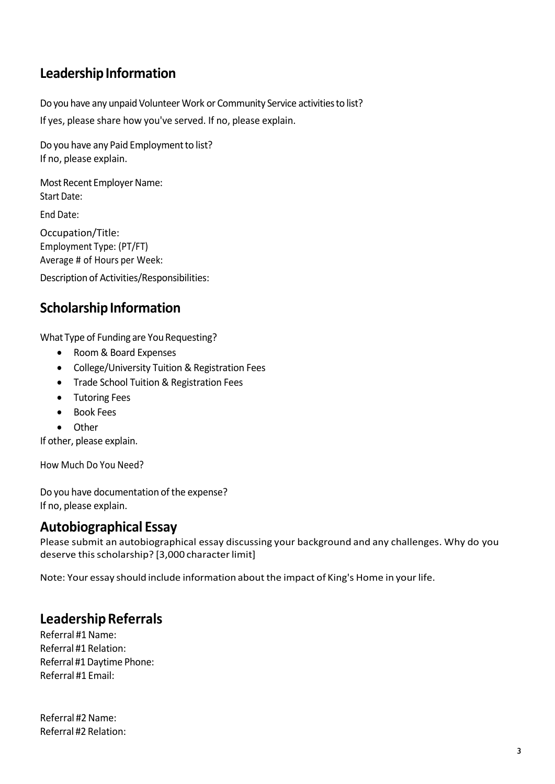## **Leadership Information**

Do you have any unpaid Volunteer Work or Community Service activitiesto list? If yes, please share how you've served. If no, please explain.

Do you have any Paid Employment to list? If no, please explain.

Most Recent Employer Name: Start Date:

End Date:

Occupation/Title: Employment Type: (PT/FT) Average # of Hours per Week:

Description of Activities/Responsibilities:

### **Scholarship Information**

What Type of Funding are You Requesting?

- Room & Board Expenses
- College/University Tuition & Registration Fees
- Trade School Tuition & Registration Fees
- Tutoring Fees
- Book Fees
- Other

If other, please explain.

How Much Do You Need?

Do you have documentation of the expense? If no, please explain.

### **Autobiographical Essay**

Please submit an autobiographical essay discussing your background and any challenges. Why do you deserve this scholarship? [3,000 character limit]

Note: Your essay should include information about the impact of King's Home in yourlife.

### **LeadershipReferrals**

Referral #1Name: Referral #1 Relation: Referral #1Daytime Phone: Referral #1 Email:

Referral #2Name: Referral #2 Relation: